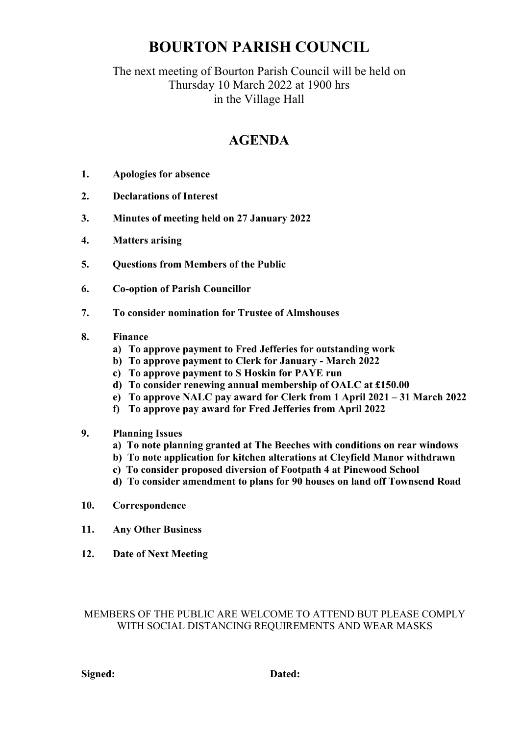# **BOURTON PARISH COUNCIL**

### The next meeting of Bourton Parish Council will be held on Thursday 10 March 2022 at 1900 hrs in the Village Hall

## **AGENDA**

- **1. Apologies for absence**
- **2. Declarations of Interest**
- **3. Minutes of meeting held on 27 January 2022**
- **4. Matters arising**
- **5. Questions from Members of the Public**
- **6. Co-option of Parish Councillor**
- **7. To consider nomination for Trustee of Almshouses**
- **8. Finance**
	- **a) To approve payment to Fred Jefferies for outstanding work**
	- **b) To approve payment to Clerk for January - March 2022**
	- **c) To approve payment to S Hoskin for PAYE run**
	- **d) To consider renewing annual membership of OALC at £150.00**
	- **e) To approve NALC pay award for Clerk from 1 April 2021 – 31 March 2022**
	- **f) To approve pay award for Fred Jefferies from April 2022**
- **9. Planning Issues**
	- **a) To note planning granted at The Beeches with conditions on rear windows**
	- **b) To note application for kitchen alterations at Cleyfield Manor withdrawn**
	- **c) To consider proposed diversion of Footpath 4 at Pinewood School**
	- **d) To consider amendment to plans for 90 houses on land off Townsend Road**
- **10. Correspondence**
- **11. Any Other Business**
- **12. Date of Next Meeting**

#### MEMBERS OF THE PUBLIC ARE WELCOME TO ATTEND BUT PLEASE COMPLY WITH SOCIAL DISTANCING REQUIREMENTS AND WEAR MASKS

**Signed: Dated:**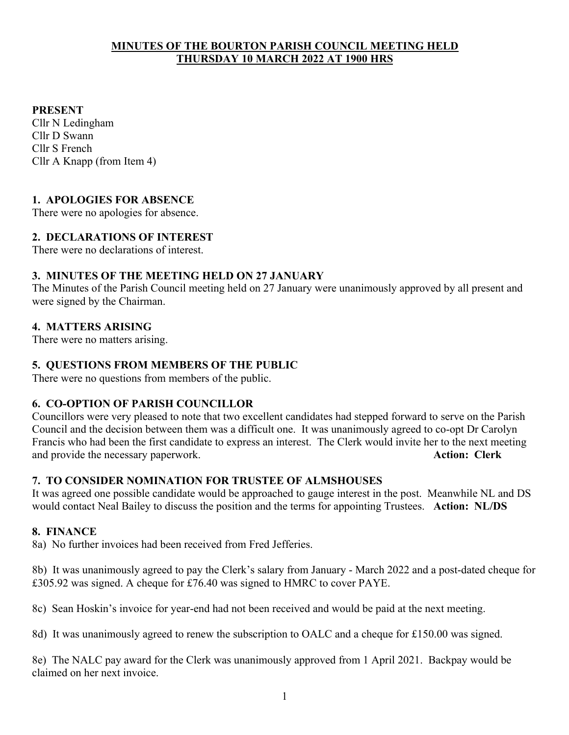#### **MINUTES OF THE BOURTON PARISH COUNCIL MEETING HELD THURSDAY 10 MARCH 2022 AT 1900 HRS**

#### **PRESENT**

Cllr N Ledingham Cllr D Swann Cllr S French Cllr A Knapp (from Item 4)

#### **1. APOLOGIES FOR ABSENCE**

There were no apologies for absence.

#### **2. DECLARATIONS OF INTEREST**

There were no declarations of interest.

#### **3. MINUTES OF THE MEETING HELD ON 27 JANUARY**

The Minutes of the Parish Council meeting held on 27 January were unanimously approved by all present and were signed by the Chairman.

#### **4. MATTERS ARISING**

There were no matters arising.

#### **5. QUESTIONS FROM MEMBERS OF THE PUBLIC**

There were no questions from members of the public.

#### **6. CO-OPTION OF PARISH COUNCILLOR**

Councillors were very pleased to note that two excellent candidates had stepped forward to serve on the Parish Council and the decision between them was a difficult one. It was unanimously agreed to co-opt Dr Carolyn Francis who had been the first candidate to express an interest. The Clerk would invite her to the next meeting and provide the necessary paperwork. **Action: Clerk**

#### **7. TO CONSIDER NOMINATION FOR TRUSTEE OF ALMSHOUSES**

It was agreed one possible candidate would be approached to gauge interest in the post. Meanwhile NL and DS would contact Neal Bailey to discuss the position and the terms for appointing Trustees. **Action: NL/DS**

#### **8. FINANCE**

8a) No further invoices had been received from Fred Jefferies.

8b) It was unanimously agreed to pay the Clerk's salary from January - March 2022 and a post-dated cheque for £305.92 was signed. A cheque for £76.40 was signed to HMRC to cover PAYE.

8c) Sean Hoskin's invoice for year-end had not been received and would be paid at the next meeting.

8d) It was unanimously agreed to renew the subscription to OALC and a cheque for £150.00 was signed.

8e) The NALC pay award for the Clerk was unanimously approved from 1 April 2021. Backpay would be claimed on her next invoice.